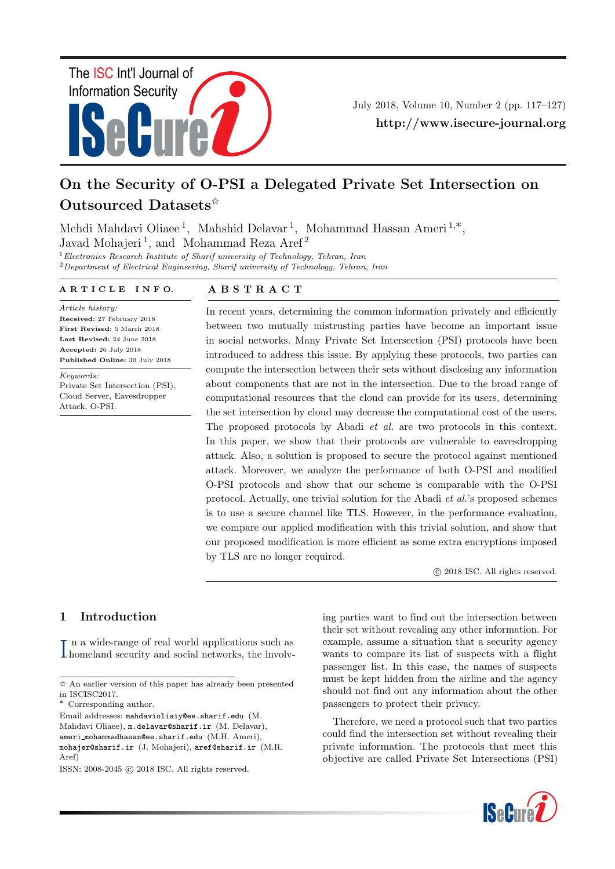

July 2018, Volume 10, Number 2 (pp. 117–127) http://www.isecure-journal.org

# On the Security of O-PSI a Delegated Private Set Intersection on Outsourced Datasets $\hat{z}$

Mehdi Mahdavi Oliaee<sup>1</sup>, Mahshid Delavar<sup>1</sup>, Mohammad Hassan Ameri<sup>1,\*</sup>, Javad Mohajeri<sup>1</sup>, and Mohammad Reza Aref<sup>2</sup>

<sup>1</sup>Electronics Research Institute of Sharif university of Technology, Tehran, Iran

 $2$ Department of Electrical Engineering, Sharif university of Technology, Tehran, Iran

### A R T I C L E I N F O.

Article history: Received: 27 February 2018 First Revised: 5 March 2018 Last Revised: 24 June 2018 Accepted: 26 July 2018 Published Online: 30 July 2018

Keywords: Private Set Intersection (PSI), Cloud Server, Eavesdropper Attack, O-PSI.

## A B S T R A C T

In recent years, determining the common information privately and efficiently between two mutually mistrusting parties have become an important issue in social networks. Many Private Set Intersection (PSI) protocols have been introduced to address this issue. By applying these protocols, two parties can compute the intersection between their sets without disclosing any information about components that are not in the intersection. Due to the broad range of computational resources that the cloud can provide for its users, determining the set intersection by cloud may decrease the computational cost of the users. The proposed protocols by Abadi et al. are two protocols in this context. In this paper, we show that their protocols are vulnerable to eavesdropping attack. Also, a solution is proposed to secure the protocol against mentioned attack. Moreover, we analyze the performance of both O-PSI and modified O-PSI protocols and show that our scheme is comparable with the O-PSI protocol. Actually, one trivial solution for the Abadi et al.'s proposed schemes is to use a secure channel like TLS. However, in the performance evaluation, we compare our applied modification with this trivial solution, and show that our proposed modification is more efficient as some extra encryptions imposed by TLS are no longer required.

c 2018 ISC. All rights reserved.

# 1 Introduction

In a wide-range of real world applications such as homeland security and social networks, the involvhomeland security and social networks, the involving parties want to find out the intersection between their set without revealing any other information. For example, assume a situation that a security agency wants to compare its list of suspects with a flight passenger list. In this case, the names of suspects must be kept hidden from the airline and the agency should not find out any information about the other passengers to protect their privacy.

Therefore, we need a protocol such that two parties could find the intersection set without revealing their private information. The protocols that meet this objective are called Private Set Intersections (PSI)



<sup>✩</sup> An earlier version of this paper has already been presented in ISCISC2017.

<sup>∗</sup> Corresponding author.

Email addresses: mahdavioliaiy@ee.sharif.edu (M. Mahdavi Oliaee), m.delavar@sharif.ir (M. Delavar), ameri mohammadhasan@ee.sharif.edu (M.H. Ameri), mohajer@sharif.ir (J. Mohajeri), aref@sharif.ir (M.R. Aref)

ISSN: 2008-2045 © 2018 ISC. All rights reserved.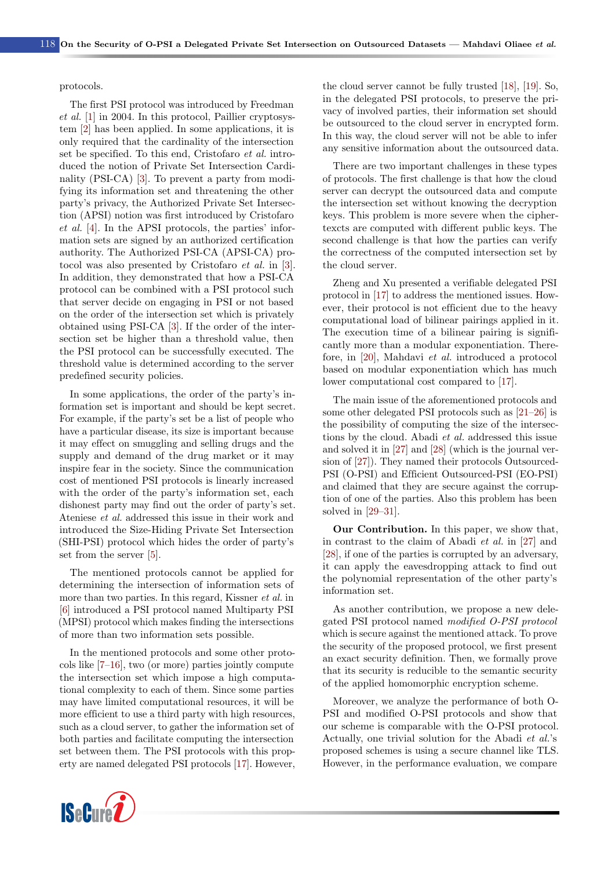#### protocols.

The first PSI protocol was introduced by Freedman et al. [\[1\]](#page-8-0) in 2004. In this protocol, Paillier cryptosystem [\[2\]](#page-8-1) has been applied. In some applications, it is only required that the cardinality of the intersection set be specified. To this end, Cristofaro et al. introduced the notion of Private Set Intersection Cardinality (PSI-CA) [\[3\]](#page-8-2). To prevent a party from modifying its information set and threatening the other party's privacy, the Authorized Private Set Intersection (APSI) notion was first introduced by Cristofaro et al. [\[4\]](#page-8-3). In the APSI protocols, the parties' information sets are signed by an authorized certification authority. The Authorized PSI-CA (APSI-CA) protocol was also presented by Cristofaro et al. in [\[3\]](#page-8-2). In addition, they demonstrated that how a PSI-CA protocol can be combined with a PSI protocol such that server decide on engaging in PSI or not based on the order of the intersection set which is privately obtained using PSI-CA [\[3\]](#page-8-2). If the order of the intersection set be higher than a threshold value, then the PSI protocol can be successfully executed. The threshold value is determined according to the server predefined security policies.

In some applications, the order of the party's information set is important and should be kept secret. For example, if the party's set be a list of people who have a particular disease, its size is important because it may effect on smuggling and selling drugs and the supply and demand of the drug market or it may inspire fear in the society. Since the communication cost of mentioned PSI protocols is linearly increased with the order of the party's information set, each dishonest party may find out the order of party's set. Ateniese et al. addressed this issue in their work and introduced the Size-Hiding Private Set Intersection (SHI-PSI) protocol which hides the order of party's set from the server [\[5\]](#page-9-0).

The mentioned protocols cannot be applied for determining the intersection of information sets of more than two parties. In this regard, Kissner *et al.* in [\[6\]](#page-9-1) introduced a PSI protocol named Multiparty PSI (MPSI) protocol which makes finding the intersections of more than two information sets possible.

In the mentioned protocols and some other protocols like [\[7–](#page-9-2)[16\]](#page-9-3), two (or more) parties jointly compute the intersection set which impose a high computational complexity to each of them. Since some parties may have limited computational resources, it will be more efficient to use a third party with high resources, such as a cloud server, to gather the information set of both parties and facilitate computing the intersection set between them. The PSI protocols with this property are named delegated PSI protocols [\[17\]](#page-9-4). However,



the cloud server cannot be fully trusted [\[18\]](#page-9-5), [\[19\]](#page-9-6). So, in the delegated PSI protocols, to preserve the privacy of involved parties, their information set should be outsourced to the cloud server in encrypted form. In this way, the cloud server will not be able to infer any sensitive information about the outsourced data.

There are two important challenges in these types of protocols. The first challenge is that how the cloud server can decrypt the outsourced data and compute the intersection set without knowing the decryption keys. This problem is more severe when the ciphertexcts are computed with different public keys. The second challenge is that how the parties can verify the correctness of the computed intersection set by the cloud server.

Zheng and Xu presented a verifiable delegated PSI protocol in [\[17\]](#page-9-4) to address the mentioned issues. However, their protocol is not efficient due to the heavy computational load of bilinear pairings applied in it. The execution time of a bilinear pairing is significantly more than a modular exponentiation. Therefore, in [\[20\]](#page-9-7), Mahdavi et al. introduced a protocol based on modular exponentiation which has much lower computational cost compared to [\[17\]](#page-9-4).

The main issue of the aforementioned protocols and some other delegated PSI protocols such as [\[21](#page-10-0)[–26\]](#page-10-1) is the possibility of computing the size of the intersections by the cloud. Abadi et al. addressed this issue and solved it in [\[27\]](#page-10-2) and [\[28\]](#page-10-3) (which is the journal version of [\[27\]](#page-10-2)). They named their protocols Outsourced-PSI (O-PSI) and Efficient Outsourced-PSI (EO-PSI) and claimed that they are secure against the corruption of one of the parties. Also this problem has been solved in [\[29–](#page-10-4)[31\]](#page-10-5).

Our Contribution. In this paper, we show that, in contrast to the claim of Abadi et al. in [\[27\]](#page-10-2) and [\[28\]](#page-10-3), if one of the parties is corrupted by an adversary, it can apply the eavesdropping attack to find out the polynomial representation of the other party's information set.

As another contribution, we propose a new delegated PSI protocol named modified O-PSI protocol which is secure against the mentioned attack. To prove the security of the proposed protocol, we first present an exact security definition. Then, we formally prove that its security is reducible to the semantic security of the applied homomorphic encryption scheme.

Moreover, we analyze the performance of both O-PSI and modified O-PSI protocols and show that our scheme is comparable with the O-PSI protocol. Actually, one trivial solution for the Abadi et al.'s proposed schemes is using a secure channel like TLS. However, in the performance evaluation, we compare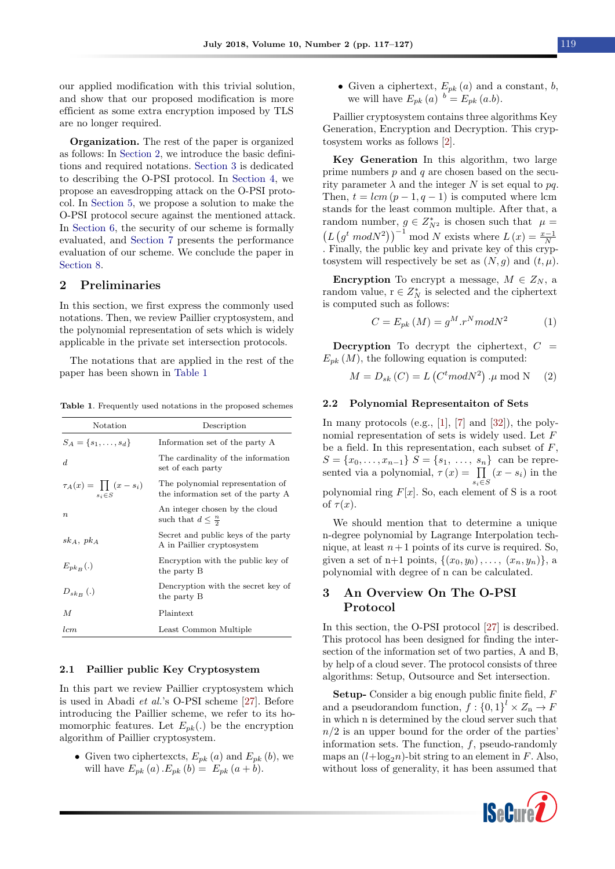our applied modification with this trivial solution, and show that our proposed modification is more efficient as some extra encryption imposed by TLS are no longer required.

Organization. The rest of the paper is organized as follows: In [Section 2,](#page-2-0) we introduce the basic definitions and required notations. [Section 3](#page-2-1) is dedicated to describing the O-PSI protocol. In [Section 4,](#page-3-0) we propose an eavesdropping attack on the O-PSI protocol. In [Section 5,](#page-4-0) we propose a solution to make the O-PSI protocol secure against the mentioned attack. In [Section 6,](#page-5-0) the security of our scheme is formally evaluated, and [Section 7](#page-8-4) presents the performance evaluation of our scheme. We conclude the paper in [Section 8.](#page-8-5)

### <span id="page-2-0"></span>2 Preliminaries

In this section, we first express the commonly used notations. Then, we review Paillier cryptosystem, and the polynomial representation of sets which is widely applicable in the private set intersection protocols.

The notations that are applied in the rest of the paper has been shown in [Table 1](#page-2-2)

<span id="page-2-2"></span>Table 1. Frequently used notations in the proposed schemes

| Notation                                               | Description                                                            |  |  |  |
|--------------------------------------------------------|------------------------------------------------------------------------|--|--|--|
| $S_A = \{s_1, \ldots, s_d\}$                           | Information set of the party A                                         |  |  |  |
| d.                                                     | The cardinality of the information<br>set of each party                |  |  |  |
| $\tau_A(x) = \prod_{i=1}^{n} (x - s_i)$<br>$s_i \in S$ | The polynomial representation of<br>the information set of the party A |  |  |  |
| $\it n$                                                | An integer chosen by the cloud<br>such that $d \leq \frac{n}{2}$       |  |  |  |
| $sk_A, pk_A$                                           | Secret and public keys of the party<br>A in Paillier cryptosystem      |  |  |  |
| $E_{p k p}$ (.)                                        | Encryption with the public key of<br>the party B                       |  |  |  |
| $D_{s k p}$ (.)                                        | Dencryption with the secret key of<br>the party B                      |  |  |  |
| M                                                      | Plaintext                                                              |  |  |  |
| l.cm                                                   | Least Common Multiple                                                  |  |  |  |

### 2.1 Paillier public Key Cryptosystem

In this part we review Paillier cryptosystem which is used in Abadi et al.'s O-PSI scheme [\[27\]](#page-10-2). Before introducing the Paillier scheme, we refer to its homomorphic features. Let  $E_{pk}(.)$  be the encryption algorithm of Paillier cryptosystem.

• Given two ciphertexcts,  $E_{pk}(a)$  and  $E_{pk}(b)$ , we will have  $E_{pk}(a)$ .  $E_{pk}(b) = E_{pk}(a + b)$ .

• Given a ciphertext,  $E_{pk}(a)$  and a constant, b, we will have  $E_{pk}(a)$   $b = E_{pk}(a.b)$ .

Paillier cryptosystem contains three algorithms Key Generation, Encryption and Decryption. This cryptosystem works as follows [\[2\]](#page-8-1).

Key Generation In this algorithm, two large prime numbers  $p$  and  $q$  are chosen based on the security parameter  $\lambda$  and the integer N is set equal to pq. Then,  $t = lcm(p-1, q-1)$  is computed where lcm stands for the least common multiple. After that, a random number,  $g \in Z^*_{N^2}$  is chosen such that  $\mu =$  $(L(g<sup>t</sup> mod N<sup>2</sup>))<sup>-1</sup> mod N exists where L(x) =  $\frac{x-1}{N}$$ . Finally, the public key and private key of this cryptosystem will respectively be set as  $(N, g)$  and  $(t, \mu)$ .

**Encryption** To encrypt a message,  $M \in Z_N$ , a random value,  $r \in Z_N^*$  is selected and the ciphertext is computed such as follows:

$$
C = E_{pk}(M) = g^M.r^N \mod N^2 \tag{1}
$$

**Decryption** To decrypt the ciphertext,  $C =$  $E_{pk}$   $(M)$ , the following equation is computed:

$$
M = D_{sk}(C) = L(C^{t}modN^{2}) \cdot \mu \mod N \quad (2)
$$

### 2.2 Polynomial Representaiton of Sets

In many protocols (e.g., [\[1\]](#page-8-0), [\[7\]](#page-9-2) and [\[32\]](#page-10-6)), the polynomial representation of sets is widely used. Let F be a field. In this representation, each subset of  $F$ ,  $S = \{x_0, \ldots, x_{n-1}\}\; S = \{s_1, \ldots, s_n\}$  can be represented via a polynomial,  $\tau(x) = \prod$  $\prod_{s_i \in S} (x - s_i)$  in the polynomial ring  $F[x]$ . So, each element of S is a root of  $\tau(x)$ .

We should mention that to determine a unique n-degree polynomial by Lagrange Interpolation technique, at least  $n+1$  points of its curve is required. So, given a set of n+1 points,  $\{(x_0, y_0), \ldots, (x_n, y_n)\}\$ , a polynomial with degree of n can be calculated.

# <span id="page-2-1"></span>3 An Overview On The O-PSI Protocol

In this section, the O-PSI protocol [\[27\]](#page-10-2) is described. This protocol has been designed for finding the intersection of the information set of two parties, A and B, by help of a cloud sever. The protocol consists of three algorithms: Setup, Outsource and Set intersection.

Setup- Consider a big enough public finite field, F and a pseudorandom function,  $f: \{0,1\}^l \times Z_n \to F$ in which n is determined by the cloud server such that  $n/2$  is an upper bound for the order of the parties information sets. The function, f, pseudo-randomly maps an  $(l+\log_2 n)$ -bit string to an element in F. Also, without loss of generality, it has been assumed that

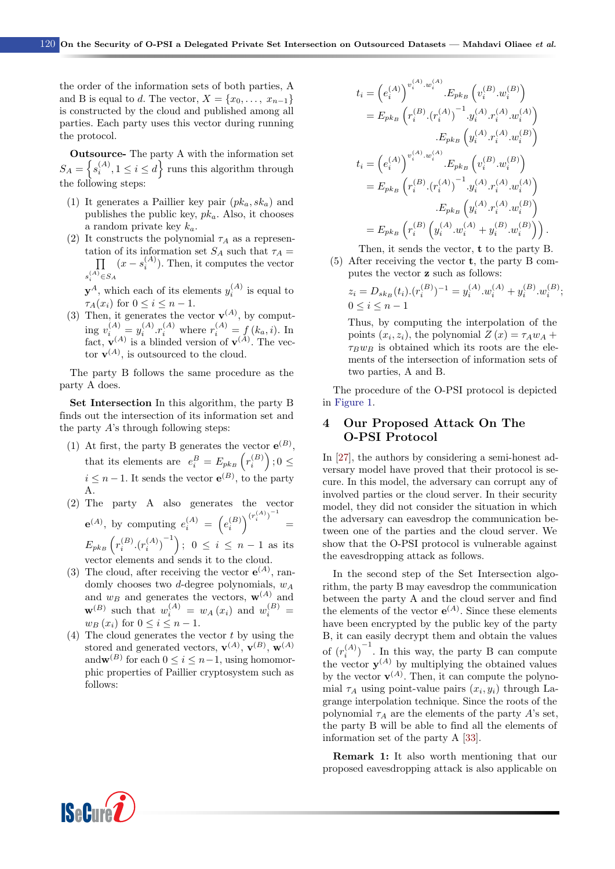the order of the information sets of both parties, A and B is equal to d. The vector,  $X = \{x_0, \ldots, x_{n-1}\}\$ is constructed by the cloud and published among all parties. Each party uses this vector during running the protocol.

Outsource- The party A with the information set  $S_A = \left\{ s_i^{(A)}, 1 \leq i \leq d \right\}$  runs this algorithm through the following steps:

- (1) It generates a Paillier key pair  $(pk_a, sk_a)$  and publishes the public key,  $pk_a$ . Also, it chooses a random private key  $k_a$ .
- (2) It constructs the polynomial  $\tau_A$  as a representation of its information set  $S_A$  such that  $\tau_A =$  $\prod$   $(x - s_i^{(A)})$ . Then, it computes the vector  $s_i^{(A)} \in S_A$

 $y^A$ , which each of its elements  $y_i^{(A)}$  is equal to  $\tau_A(x_i)$  for  $0 \leq i \leq n-1$ .

(3) Then, it generates the vector  $\mathbf{v}^{(A)}$ , by computing  $v_i^{(A)} = y_i^{(A)} \cdot r_i^{(A)}$  where  $r_i^{(A)} = f(k_a, i)$ . In fact,  $\mathbf{v}^{(A)}$  is a blinded version of  $\mathbf{v}^{(A)}$ . The vector  $\mathbf{v}^{(A)}$ , is outsourced to the cloud.

The party B follows the same procedure as the party A does.

Set Intersection In this algorithm, the party B finds out the intersection of its information set and the party A's through following steps:

- (1) At first, the party B generates the vector  $e^{(B)}$ , that its elements are  $e_i^B = E_{pk_B}\left(r_i^{(B)}\right); 0 \leq$  $i \leq n-1$ . It sends the vector  $e^{(B)}$ , to the party A.
- (2) The party A also generates the vector  $e^{(A)}$ , by computing  $e^{(A)}_i = (e^{(B)}_i)^{(r^{(A)}_i)^{-1}}$ =  $E_{pk_B}\left(r_i^{(B)}.(r_i^{(A)})^{-1}\right); 0 \le i \le n-1$  as its vector elements and sends it to the cloud.
- (3) The cloud, after receiving the vector  $e^{(A)}$ , randomly chooses two d-degree polynomials,  $w_A$ and  $w_B$  and generates the vectors,  $\mathbf{w}^{(A)}$  and  $\mathbf{w}^{(B)}$  such that  $w_i^{(A)} = w_A(x_i)$  and  $w_i^{(B)} =$  $w_B(x_i)$  for  $0 \leq i \leq n-1$ .
- (4) The cloud generates the vector  $t$  by using the stored and generated vectors,  $\mathbf{v}^{(A)}$ ,  $\mathbf{v}^{(B)}$ ,  $\mathbf{w}^{(A)}$ and  $\mathbf{w}^{(B)}$  for each  $0 \leq i \leq n-1$ , using homomorphic properties of Paillier cryptosystem such as follows:

$$
t_{i} = (e_{i}^{(A)})^{v_{i}^{(A)} \cdot w_{i}^{(A)}} \cdot E_{pk_{B}} (v_{i}^{(B)} \cdot w_{i}^{(B)})
$$
  
\n
$$
= E_{pk_{B}} (r_{i}^{(B)} \cdot (r_{i}^{(A)})^{-1} \cdot y_{i}^{(A)} \cdot r_{i}^{(A)} \cdot w_{i}^{(A)})
$$
  
\n
$$
\cdot E_{pk_{B}} (y_{i}^{(A)} \cdot r_{i}^{(A)} \cdot w_{i}^{(B)})
$$
  
\n
$$
t_{i} = (e_{i}^{(A)})^{v_{i}^{(A)} \cdot w_{i}^{(A)}} \cdot E_{pk_{B}} (v_{i}^{(B)} \cdot w_{i}^{(B)})
$$
  
\n
$$
= E_{pk_{B}} (r_{i}^{(B)} \cdot (r_{i}^{(A)})^{-1} \cdot y_{i}^{(A)} \cdot r_{i}^{(A)} \cdot w_{i}^{(A)})
$$
  
\n
$$
\cdot E_{pk_{B}} (y_{i}^{(A)} \cdot r_{i}^{(A)} \cdot w_{i}^{(B)})
$$
  
\n
$$
= E_{pk_{B}} (r_{i}^{(B)} (y_{i}^{(A)} \cdot w_{i}^{(A)} + y_{i}^{(B)} \cdot w_{i}^{(B)})).
$$

Then, it sends the vector, t to the party B.

(5) After receiving the vector t, the party B computes the vector z such as follows:

$$
z_i = D_{sk_B}(t_i) \cdot (r_i^{(B)})^{-1} = y_i^{(A)} \cdot w_i^{(A)} + y_i^{(B)} \cdot w_i^{(B)};
$$
  

$$
0 \le i \le n - 1
$$

Thus, by computing the interpolation of the points  $(x_i, z_i)$ , the polynomial  $Z(x) = \tau_A w_A +$  $\tau_B w_B$  is obtained which its roots are the elements of the intersection of information sets of two parties, A and B.

The procedure of the O-PSI protocol is depicted in [Figure 1.](#page-4-1)

# <span id="page-3-0"></span>4 Our Proposed Attack On The O-PSI Protocol

In [\[27\]](#page-10-2), the authors by considering a semi-honest adversary model have proved that their protocol is secure. In this model, the adversary can corrupt any of involved parties or the cloud server. In their security model, they did not consider the situation in which the adversary can eavesdrop the communication between one of the parties and the cloud server. We show that the O-PSI protocol is vulnerable against the eavesdropping attack as follows.

In the second step of the Set Intersection algorithm, the party B may eavesdrop the communication between the party A and the cloud server and find the elements of the vector  $e^{(A)}$ . Since these elements have been encrypted by the public key of the party B, it can easily decrypt them and obtain the values of  $(r_i^{(A)})^{-1}$ . In this way, the party B can compute the vector  $y^{(A)}$  by multiplying the obtained values by the vector  $\mathbf{v}^{(A)}$ . Then, it can compute the polynomial  $\tau_A$  using point-value pairs  $(x_i, y_i)$  through Lagrange interpolation technique. Since the roots of the polynomial  $\tau_A$  are the elements of the party A's set, the party B will be able to find all the elements of information set of the party A [\[33\]](#page-10-7).

Remark 1: It also worth mentioning that our proposed eavesdropping attack is also applicable on

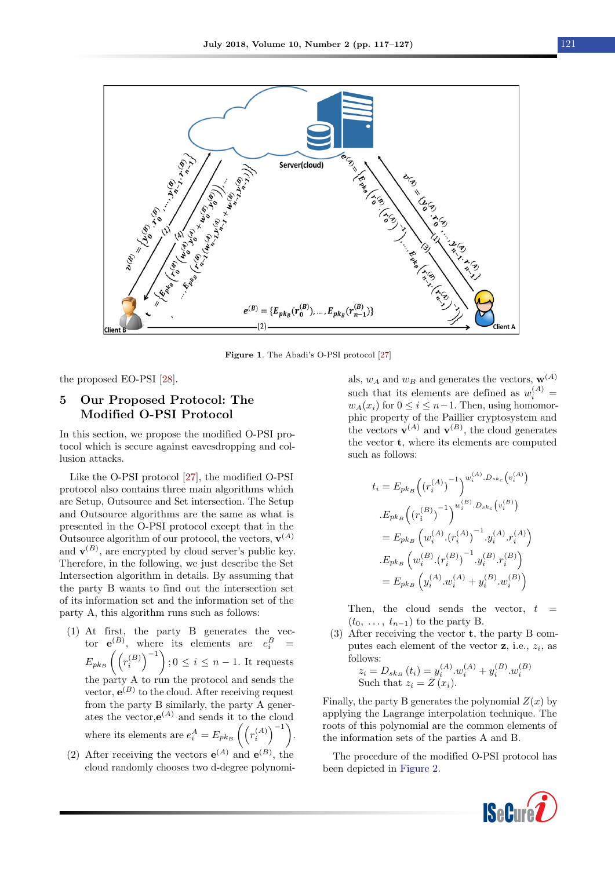<span id="page-4-1"></span>

Figure 1. The Abadi's O-PSI protocol [\[27\]](#page-10-2)

the proposed EO-PSI [\[28\]](#page-10-3).

# <span id="page-4-0"></span>5 Our Proposed Protocol: The Modified O-PSI Protocol

In this section, we propose the modified O-PSI protocol which is secure against eavesdropping and collusion attacks.

Like the O-PSI protocol [\[27\]](#page-10-2), the modified O-PSI protocol also contains three main algorithms which are Setup, Outsource and Set intersection. The Setup and Outsource algorithms are the same as what is presented in the O-PSI protocol except that in the Outsource algorithm of our protocol, the vectors,  $\mathbf{v}^{(A)}$ and  $\mathbf{v}^{(B)}$ , are encrypted by cloud server's public key. Therefore, in the following, we just describe the Set Intersection algorithm in details. By assuming that the party B wants to find out the intersection set of its information set and the information set of the party A, this algorithm runs such as follows:

- (1) At first, the party B generates the vector  $e^{(B)}$ , where its elements are  $e_i^B =$  $E_{pk_B}\left(\left(r_i^{(B)}\right)^{-1}\right); 0 \leq i \leq n-1$ . It requests the party A to run the protocol and sends the vector,  $e^{(B)}$  to the cloud. After receiving request from the party B similarly, the party A generates the vector,  $e^{(A)}$  and sends it to the cloud where its elements are  $e_i^A = E_{pk_B} \left( \left( r_i^{(A)} \right)^{-1} \right)$ .
- (2) After receiving the vectors  $e^{(A)}$  and  $e^{(B)}$ , the cloud randomly chooses two d-degree polynomi-

als,  $w_A$  and  $w_B$  and generates the vectors,  $\mathbf{w}^{(A)}$ such that its elements are defined as  $w_i^{(A)} =$  $w_A(x_i)$  for  $0 \leq i \leq n-1$ . Then, using homomorphic property of the Paillier cryptosystem and the vectors  $\mathbf{v}^{(A)}$  and  $\mathbf{v}^{(B)}$ , the cloud generates the vector t, where its elements are computed such as follows:

$$
t_{i} = E_{pk_{B}} \left( (r_{i}^{(A)})^{-1} \right)^{w_{i}^{(A)} \cdot D_{sk_{c}} \left( v_{i}^{(A)} \right)}
$$

$$
\cdot E_{pk_{B}} \left( (r_{i}^{(B)})^{-1} \right)^{w_{i}^{(B)} \cdot D_{sk_{c}} \left( v_{i}^{(B)} \right)}
$$

$$
= E_{pk_{B}} \left( w_{i}^{(A)} \cdot (r_{i}^{(A)})^{-1} \cdot y_{i}^{(A)} \cdot r_{i}^{(A)} \right)
$$

$$
\cdot E_{pk_{B}} \left( w_{i}^{(B)} \cdot (r_{i}^{(B)})^{-1} \cdot y_{i}^{(B)} \cdot r_{i}^{(B)} \right)
$$

$$
= E_{pk_{B}} \left( y_{i}^{(A)} \cdot w_{i}^{(A)} + y_{i}^{(B)} \cdot w_{i}^{(B)} \right)
$$

Then, the cloud sends the vector,  $t$  $(t_0, \ldots, t_{n-1})$  to the party B.

(3) After receiving the vector t, the party B computes each element of the vector  $z$ , i.e.,  $z_i$ , as follows:

$$
z_i = D_{s k_B} (t_i) = y_i^{(A)} . w_i^{(A)} + y_i^{(B)} . w_i^{(B)}
$$
  
Such that  $z_i = Z(x_i)$ .

Finally, the party B generates the polynomial  $Z(x)$  by applying the Lagrange interpolation technique. The roots of this polynomial are the common elements of the information sets of the parties A and B.

The procedure of the modified O-PSI protocol has been depicted in [Figure 2.](#page-5-1)

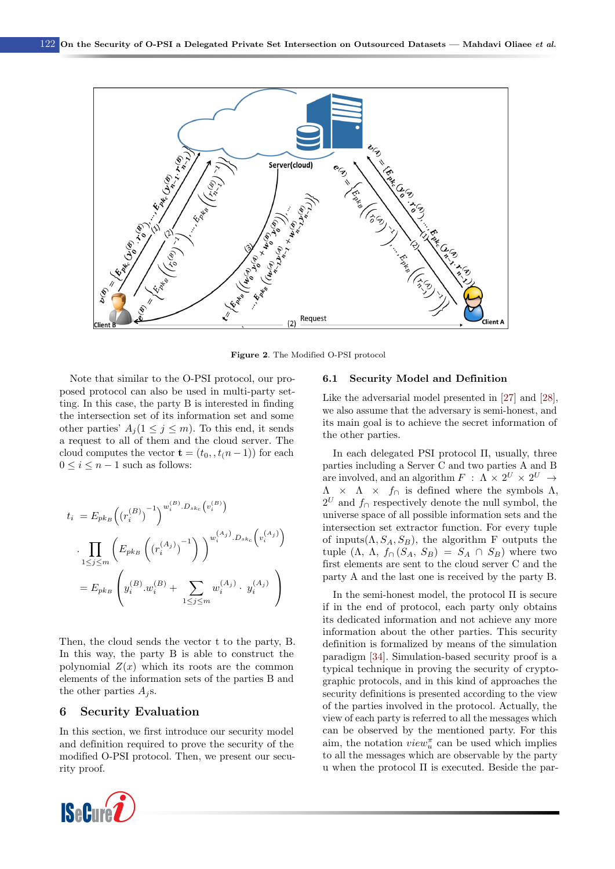<span id="page-5-1"></span>

Figure 2. The Modified O-PSI protocol

Note that similar to the O-PSI protocol, our proposed protocol can also be used in multi-party setting. In this case, the party B is interested in finding the intersection set of its information set and some other parties'  $A_j (1 \leq j \leq m)$ . To this end, it sends a request to all of them and the cloud server. The cloud computes the vector  $\mathbf{t} = (t_0, t_0, t_1 - 1)$  for each  $0 \leq i \leq n-1$  such as follows:

$$
t_{i} = E_{pk_{B}} ((r_{i}^{(B)})^{-1})^{w_{i}^{(B)} \cdot D_{sk_{c}}(v_{i}^{(B)})}
$$

$$
\cdot \prod_{1 \leq j \leq m} \left( E_{pk_{B}} ((r_{i}^{(A_{j})})^{-1}) \right)^{w_{i}^{(A_{j})} \cdot D_{sk_{c}}(v_{i}^{(A_{j})})}
$$

$$
= E_{pk_{B}} \left( y_{i}^{(B)} \cdot w_{i}^{(B)} + \sum_{1 \leq j \leq m} w_{i}^{(A_{j})} \cdot y_{i}^{(A_{j})} \right)
$$

Then, the cloud sends the vector t to the party, B. In this way, the party B is able to construct the polynomial  $Z(x)$  which its roots are the common elements of the information sets of the parties B and the other parties  $A_j$ s.

### <span id="page-5-0"></span>6 Security Evaluation

In this section, we first introduce our security model and definition required to prove the security of the modified O-PSI protocol. Then, we present our security proof.



#### 6.1 Security Model and Definition

Like the adversarial model presented in [\[27\]](#page-10-2) and [\[28\]](#page-10-3), we also assume that the adversary is semi-honest, and its main goal is to achieve the secret information of the other parties.

In each delegated PSI protocol Π, usually, three parties including a Server C and two parties A and B are involved, and an algorithm  $F : \Lambda \times 2^U \times 2^U \rightarrow$  $\Lambda \times \Lambda \times f_{\cap}$  is defined where the symbols  $\Lambda$ ,  $2^U$  and  $f_{\cap}$  respectively denote the null symbol, the universe space of all possible information sets and the intersection set extractor function. For every tuple of inputs $(\Lambda, S_A, S_B)$ , the algorithm F outputs the tuple  $(\Lambda, \Lambda, f_0(S_A, S_B) = S_A \cap S_B)$  where two first elements are sent to the cloud server C and the party A and the last one is received by the party B.

In the semi-honest model, the protocol  $\Pi$  is secure if in the end of protocol, each party only obtains its dedicated information and not achieve any more information about the other parties. This security definition is formalized by means of the simulation paradigm [\[34\]](#page-10-8). Simulation-based security proof is a typical technique in proving the security of cryptographic protocols, and in this kind of approaches the security definitions is presented according to the view of the parties involved in the protocol. Actually, the view of each party is referred to all the messages which can be observed by the mentioned party. For this aim, the notation  $view_u^{\pi}$  can be used which implies to all the messages which are observable by the party u when the protocol Π is executed. Beside the par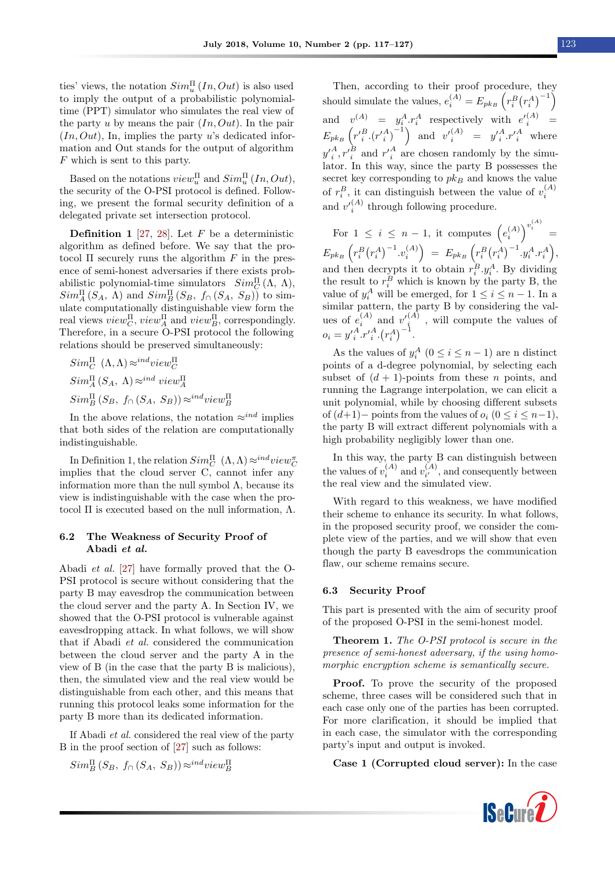ties' views, the notation  $Sim_u^{\Pi}(In, Out)$  is also used to imply the output of a probabilistic polynomialtime (PPT) simulator who simulates the real view of the party u by means the pair  $(In, Out)$ . In the pair  $(In, Out)$ , In, implies the party u's dedicated information and Out stands for the output of algorithm F which is sent to this party.

Based on the notations  $view_u^{\Pi}$  and  $Sim_u^{\Pi}(In, Out)$ , the security of the O-PSI protocol is defined. Following, we present the formal security definition of a delegated private set intersection protocol.

**Definition 1** [\[27,](#page-10-2) [28\]](#page-10-3). Let  $F$  be a deterministic algorithm as defined before. We say that the protocol  $\Pi$  securely runs the algorithm  $F$  in the presence of semi-honest adversaries if there exists probabilistic polynomial-time simulators  $Sim_{\mathbb{C}}^{\Pi}(\Lambda, \Lambda),$  $Sim_A^{\Pi}(S_A, \Lambda)$  and  $Sim_B^{\Pi}(S_B, f_0(S_A, S_B))$  to simulate computationally distinguishable view form the real views  $view_C^{\Pi}$ ,  $view_A^{\Pi}$  and  $view_B^{\Pi}$ , correspondingly. Therefore, in a secure O-PSI protocol the following relations should be preserved simultaneously:

$$
Sim_C^{\Pi} (\Lambda, \Lambda) \approx^{ind} view_C^{\Pi}
$$
  
\n
$$
Sim_A^{\Pi} (S_A, \Lambda) \approx^{ind} view_A^{\Pi}
$$
  
\n
$$
Sim_B^{\Pi} (S_B, f_{\cap} (S_A, S_B)) \approx^{ind} view_B^{\Pi}
$$

In the above relations, the notation  $\approx^{ind}$  implies that both sides of the relation are computationally indistinguishable.

In Definition 1, the relation  $Sim_C^{\Pi}(\Lambda, \Lambda) \approx^{ind} view_C^{\pi}$ implies that the cloud server C, cannot infer any information more than the null symbol  $\Lambda$ , because its view is indistinguishable with the case when the protocol Π is executed based on the null information, Λ.

### 6.2 The Weakness of Security Proof of Abadi et al.

Abadi et al. [\[27\]](#page-10-2) have formally proved that the O-PSI protocol is secure without considering that the party B may eavesdrop the communication between the cloud server and the party A. In Section IV, we showed that the O-PSI protocol is vulnerable against eavesdropping attack. In what follows, we will show that if Abadi et al. considered the communication between the cloud server and the party A in the view of B (in the case that the party B is malicious), then, the simulated view and the real view would be distinguishable from each other, and this means that running this protocol leaks some information for the party B more than its dedicated information.

If Abadi et al. considered the real view of the party B in the proof section of [\[27\]](#page-10-2) such as follows:

$$
Sim_B^{\Pi}(S_B, f_{\cap}(S_A, S_B)) \approx^{ind} view_B^{\Pi}
$$

Then, according to their proof procedure, they should simulate the values,  $e_i^{(A)} = E_{pk_B} \left( r_i^B (r_i^A)^{-1} \right)$ and  $v^{(A)} = y_i^A \cdot r_i^A$  respectively with  $e'_i^{(A)} =$  $E_{pk_B} \left( r'_{i}^{B} \cdot (r'_{i}^{A})^{-1} \right)$  and  $v'_{i}^{(A)} = y'_{i}^{A} \cdot r'_{i}^{A}$  where  $y'^{A}_{i}, r'^{B}_{i}$  and  $r'^{A}_{i}$  are chosen randomly by the simulator. In this way, since the party B possesses the secret key corresponding to  $pk_B$  and knows the value of  $r_i^B$ , it can distinguish between the value of  $v_i^{(A)}$ and  $v_i^{\prime(A)}$  through following procedure.

For  $1 \leq i \leq n-1$ , it computes  $(e_i^{(A)})^{v_i^{(A)}} =$  $E_{pk_B}\left(r_i^B\big(r_i^A\big)^{-1}.v_i^{(A)}\right) \,\,=\,\, E_{pk_B}\left(r_i^B\big(r_i^A\big)^{-1}.y_i^A.r_i^A\right),$ and then decrypts it to obtain  $r_i^B.y_i^A$ . By dividing the result to  $r_i^B$  which is known by the party B, the value of  $y_i^A$  will be emerged, for  $1 \le i \le n-1$ . In a similar pattern, the party B by considering the values of  $e_i^{(A)}$  and  $v_i^{(A)}$ , will compute the values of  $o_i = y'^{A}_{i}.r'^{A}_{i}.(r_i^A)^{-1}.$ 

As the values of  $y_i^A$   $(0 \le i \le n-1)$  are n distinct points of a d-degree polynomial, by selecting each subset of  $(d + 1)$ -points from these *n* points, and running the Lagrange interpolation, we can elicit a unit polynomial, while by choosing different subsets of  $(d+1)$ – points from the values of  $o_i$   $(0 \le i \le n-1)$ , the party B will extract different polynomials with a high probability negligibly lower than one.

In this way, the party B can distinguish between the values of  $v_i^{(A)}$  and  $v_{i'}^{(A)}$  $i^{(A)}_{i'}$ , and consequently between the real view and the simulated view.

With regard to this weakness, we have modified their scheme to enhance its security. In what follows, in the proposed security proof, we consider the complete view of the parties, and we will show that even though the party B eavesdrops the communication flaw, our scheme remains secure.

#### 6.3 Security Proof

This part is presented with the aim of security proof of the proposed O-PSI in the semi-honest model.

Theorem 1. The O-PSI protocol is secure in the presence of semi-honest adversary, if the using homomorphic encryption scheme is semantically secure.

Proof. To prove the security of the proposed scheme, three cases will be considered such that in each case only one of the parties has been corrupted. For more clarification, it should be implied that in each case, the simulator with the corresponding party's input and output is invoked.

Case 1 (Corrupted cloud server): In the case

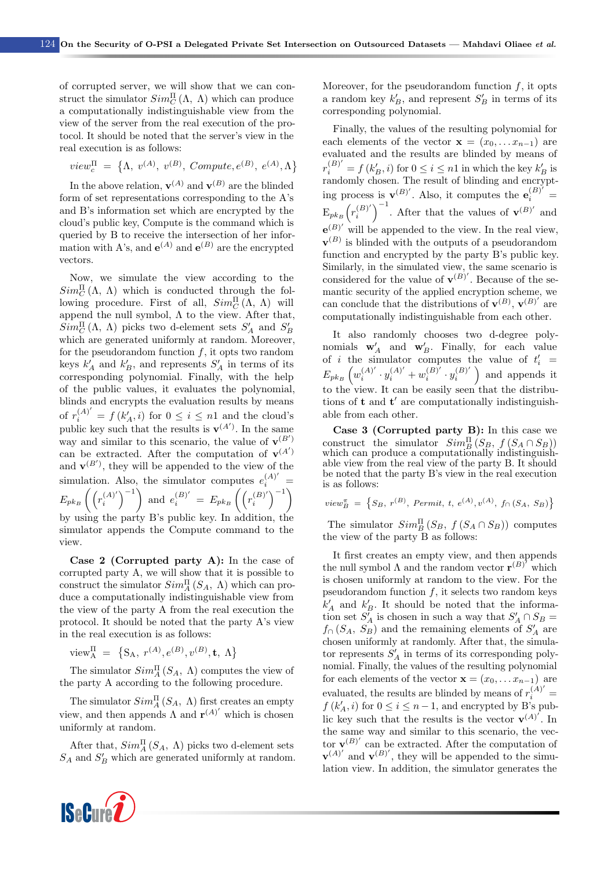of corrupted server, we will show that we can construct the simulator  $Sim_{\mathbb{C}}^{\Pi}(\Lambda, \Lambda)$  which can produce a computationally indistinguishable view from the view of the server from the real execution of the protocol. It should be noted that the server's view in the real execution is as follows:

$$
view_c^{\Pi} = \{ \Lambda, v^{(A)}, v^{(B)}, \textit{Compute}, e^{(B)}, e^{(A)}, \Lambda \}
$$

In the above relation,  $\mathbf{v}^{(A)}$  and  $\mathbf{v}^{(B)}$  are the blinded form of set representations corresponding to the A's and B's information set which are encrypted by the cloud's public key, Compute is the command which is queried by B to receive the intersection of her information with A's, and  $e^{(A)}$  and  $e^{(B)}$  are the encrypted vectors.

Now, we simulate the view according to the  $Sim_{\mathbb{C}}^{\Pi}(\Lambda, \Lambda)$  which is conducted through the following procedure. First of all,  $Sim_C^{\Pi}(\Lambda, \Lambda)$  will append the null symbol,  $\Lambda$  to the view. After that,  $Sim_C^{\Pi}(\Lambda, \Lambda)$  picks two d-element sets  $S'_A$  and  $S'_B$ which are generated uniformly at random. Moreover, for the pseudorandom function  $f$ , it opts two random keys  $k'_A$  and  $k'_B$ , and represents  $S'_A$  in terms of its corresponding polynomial. Finally, with the help of the public values, it evaluates the polynomial, blinds and encrypts the evaluation results by means of  $r_i^{(A)'} = f(k'_A, i)$  for  $0 \le i \le n1$  and the cloud's public key such that the results is  $\mathbf{v}^{(A')}$ . In the same way and similar to this scenario, the value of  $\mathbf{v}^{(B)}$ can be extracted. After the computation of  $\mathbf{v}^{(A')}$ and  $\mathbf{v}^{(B')}$ , they will be appended to the view of the simulation. Also, the simulator computes  $e_i^{(A)}$  =  $E_{pk_B}\left(\left(r_i^{(A)'}\right.\right)$  $\binom{(A)'}{i}^{-1}$  and  $e_i^{(B)'} = E_{pk_B} \left( \left( r_i^{(B)} \right) \right)$  $\binom{(B)'}{i}^{-1}$ by using the party B's public key. In addition, the simulator appends the Compute command to the view.

Case 2 (Corrupted party A): In the case of corrupted party A, we will show that it is possible to construct the simulator  $Sim_A^{\Pi}(S_A, \Lambda)$  which can produce a computationally indistinguishable view from the view of the party A from the real execution the protocol. It should be noted that the party A's view in the real execution is as follows:

view<sub>A</sub><sup>$$
\Pi
$$</sup> = {S<sub>A</sub>, r<sup>(A)</sup>, e<sup>(B)</sup>, v<sup>(B)</sup>, t,  $\Lambda$ }

The simulator  $Sim_A^{\Pi}(S_A, \Lambda)$  computes the view of the party A according to the following procedure.

The simulator  $Sim_A^{\Pi}(S_A, \Lambda)$  first creates an empty view, and then appends  $\Lambda$  and  $\mathbf{r}^{(A)'}$  which is chosen uniformly at random.

After that,  $Sim_A^{\Pi}(S_A, \Lambda)$  picks two d-element sets  $S_A$  and  $S'_B$  which are generated uniformly at random.



Moreover, for the pseudorandom function  $f$ , it opts a random key  $k_B'$ , and represent  $S_B'$  in terms of its corresponding polynomial.

Finally, the values of the resulting polynomial for each elements of the vector  $\mathbf{x} = (x_0, \dots, x_{n-1})$  are evaluated and the results are blinded by means of  $r_i^{(B)'} = f(k'_B, i)$  for  $0 \le i \le n1$  in which the key  $k'_B$  is randomly chosen. The result of blinding and encrypting process is  $\mathbf{v}^{(B)'}$ . Also, it computes the  $\mathbf{e}_i^{(B)'}$  =  $\mathrm{E}_{pk_{B}}\left( r_{i}^{\left( B\right) ^{\prime}}\right)$  $\binom{(B)'}{i}$ <sup>-1</sup>. After that the values of  $\mathbf{v}^{(B)'}$  and  $e^{(B)}$  will be appended to the view. In the real view,  $\mathbf{v}^{(B)}$  is blinded with the outputs of a pseudorandom function and encrypted by the party B's public key. Similarly, in the simulated view, the same scenario is considered for the value of  $\mathbf{v}^{(B)}$ . Because of the semantic security of the applied encryption scheme, we can conclude that the distributions of  $\mathbf{v}^{(B)}$ ,  $\mathbf{v}^{(B)'}$  are computationally indistinguishable from each other.

It also randomly chooses two d-degree polynomials  $\mathbf{w}'_A$  and  $\mathbf{w}'_B$ . Finally, for each value of *i* the simulator computes the value of  $t_i'$  =  $E_{pk_B}\left(w_i^{(A)'}\right)$  $y_i^{(A)'} \cdot y_i^{(A)'} + w_i^{(B)'}$  $y_i^{(B)'} \cdot y_i^{(B)'}$  $\binom{(B)'}{i}$  and appends it to the view. It can be easily seen that the distributions of  $t$  and  $t'$  are computationally indistinguishable from each other.

Case 3 (Corrupted party B): In this case we construct the simulator  $Sim_B^{\Pi}(S_B, f(S_A \cap S_B))$ <br>which can produce a computationally indistinguishable view from the real view of the party B. It should be noted that the party B's view in the real execution is as follows:

$$
view_B^{\pi} = \{ S_B, r^{(B)}, \, Permit, \, t, \, e^{(A)}, v^{(A)}, \, f_{\cap}(S_A, \, S_B) \}
$$

The simulator  $Sim_B^{\Pi}(S_B, f(S_A \cap S_B))$  computes the view of the party B as follows:

It first creates an empty view, and then appends the null symbol  $\Lambda$  and the random vector  $\mathbf{r}^{(B)}$  which is chosen uniformly at random to the view. For the pseudorandom function  $f$ , it selects two random keys  $k'_A$  and  $k'_B$ . It should be noted that the information set  $S'_A$  is chosen in such a way that  $S'_A \cap S_B =$  $f_{\cap}$  (S<sub>A</sub>, S<sub>B</sub>) and the remaining elements of S'<sub>A</sub> are chosen uniformly at randomly. After that, the simulator represents  $S'_A$  in terms of its corresponding polynomial. Finally, the values of the resulting polynomial for each elements of the vector  $\mathbf{x} = (x_0, \dots x_{n-1})$  are evaluated, the results are blinded by means of  $r_i^{(A)'}=$  $f(k'_A, i)$  for  $0 \le i \le n-1$ , and encrypted by B's public key such that the results is the vector  $\mathbf{v}^{(A)}$ . In the same way and similar to this scenario, the vector  $\mathbf{v}^{(B)}$  can be extracted. After the computation of  ${\bf v}^{(A)'}$  and  ${\bf v}^{(B)'},$  they will be appended to the simulation view. In addition, the simulator generates the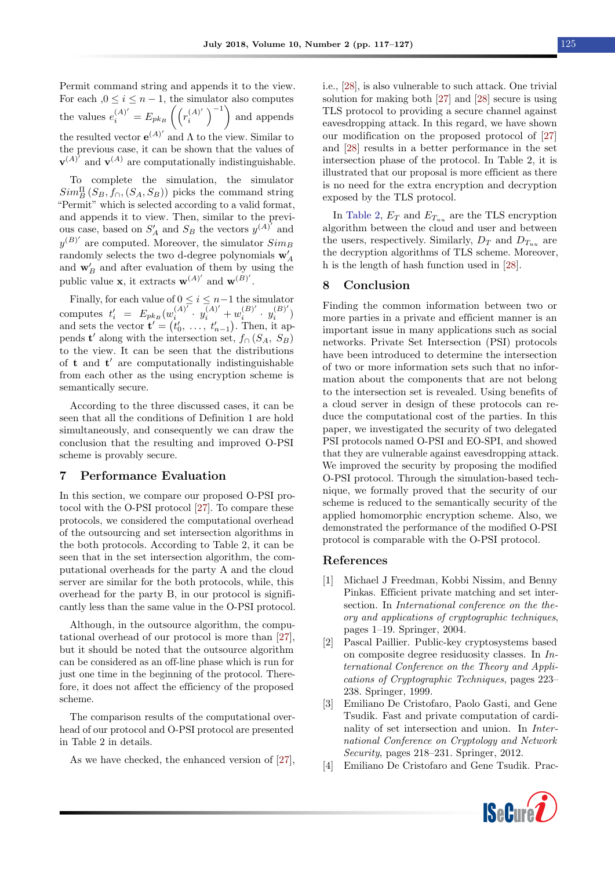Permit command string and appends it to the view. For each  $, 0 \le i \le n - 1$ , the simulator also computes the values  $e_i^{(A)'} = E_{pk_B} \left( \left( r_i^{(A)} \right) \right)$  $\binom{(A)'}{i}$ <sup>-1</sup> and appends the resulted vector  $e^{(A)'}$  and  $\Lambda$  to the view. Similar to the previous case, it can be shown that the values of  ${\bf v}^{(A)}$  and  ${\bf v}^{(A)}$  are computationally indistinguishable.

To complete the simulation, the simulator  $Sim_B^{\Pi}(S_B, f_{\cap}, (S_A, S_B))$  picks the command string "Permit" which is selected according to a valid format, and appends it to view. Then, similar to the previous case, based on  $S'_A$  and  $S_B$  the vectors  $y^{(A)}$  and  $y^{(B)}$  are computed. Moreover, the simulator  $Sim_B$ randomly selects the two d-degree polynomials  $\mathbf{w}_A'$ and  $\mathbf{w}'_B$  and after evaluation of them by using the public value **x**, it extracts  $\mathbf{w}^{(A)'}$  and  $\mathbf{w}^{(B)'}$ .

Finally, for each value of  $0 \leq i \leq n-1$  the simulator computes  $t'_i = E_{pk_B}(w_i^{(A)})$  $y_i^{(A)'} \cdot y_i^{(A)'} + w_i^{(B)'}$  $j^{(B)'}_i \cdot y^{(B)'}_i$  $\binom{D}{i}$ and sets the vector  $\mathbf{t}' = (t'_0, \ldots, t'_{n-1})$ . Then, it appends t' along with the intersection set,  $f_ \cap (S_A, S_B)$ to the view. It can be seen that the distributions of  $t$  and  $t'$  are computationally indistinguishable from each other as the using encryption scheme is semantically secure.

According to the three discussed cases, it can be seen that all the conditions of Definition 1 are hold simultaneously, and consequently we can draw the conclusion that the resulting and improved O-PSI scheme is provably secure.

### <span id="page-8-4"></span>7 Performance Evaluation

In this section, we compare our proposed O-PSI protocol with the O-PSI protocol [\[27\]](#page-10-2). To compare these protocols, we considered the computational overhead of the outsourcing and set intersection algorithms in the both protocols. According to Table 2, it can be seen that in the set intersection algorithm, the computational overheads for the party A and the cloud server are similar for the both protocols, while, this overhead for the party B, in our protocol is significantly less than the same value in the O-PSI protocol.

Although, in the outsource algorithm, the computational overhead of our protocol is more than [\[27\]](#page-10-2), but it should be noted that the outsource algorithm can be considered as an off-line phase which is run for just one time in the beginning of the protocol. Therefore, it does not affect the efficiency of the proposed scheme.

The comparison results of the computational overhead of our protocol and O-PSI protocol are presented in Table 2 in details.

As we have checked, the enhanced version of [\[27\]](#page-10-2),

i.e., [\[28\]](#page-10-3), is also vulnerable to such attack. One trivial solution for making both [\[27\]](#page-10-2) and [\[28\]](#page-10-3) secure is using TLS protocol to providing a secure channel against eavesdropping attack. In this regard, we have shown our modification on the proposed protocol of [\[27\]](#page-10-2) and [\[28\]](#page-10-3) results in a better performance in the set intersection phase of the protocol. In Table 2, it is illustrated that our proposal is more efficient as there is no need for the extra encryption and decryption exposed by the TLS protocol.

In [Table 2,](#page-9-8)  $E_T$  and  $E_{T_{uu}}$  are the TLS encryption algorithm between the cloud and user and between the users, respectively. Similarly,  $D_T$  and  $D_{T_{uu}}$  are the decryption algorithms of TLS scheme. Moreover, h is the length of hash function used in [\[28\]](#page-10-3).

#### <span id="page-8-5"></span>8 Conclusion

Finding the common information between two or more parties in a private and efficient manner is an important issue in many applications such as social networks. Private Set Intersection (PSI) protocols have been introduced to determine the intersection of two or more information sets such that no information about the components that are not belong to the intersection set is revealed. Using benefits of a cloud server in design of these protocols can reduce the computational cost of the parties. In this paper, we investigated the security of two delegated PSI protocols named O-PSI and EO-SPI, and showed that they are vulnerable against eavesdropping attack. We improved the security by proposing the modified O-PSI protocol. Through the simulation-based technique, we formally proved that the security of our scheme is reduced to the semantically security of the applied homomorphic encryption scheme. Also, we demonstrated the performance of the modified O-PSI protocol is comparable with the O-PSI protocol.

#### References

- <span id="page-8-0"></span>[1] Michael J Freedman, Kobbi Nissim, and Benny Pinkas. Efficient private matching and set intersection. In International conference on the theory and applications of cryptographic techniques, pages 1–19. Springer, 2004.
- <span id="page-8-1"></span>[2] Pascal Paillier. Public-key cryptosystems based on composite degree residuosity classes. In International Conference on the Theory and Applications of Cryptographic Techniques, pages 223– 238. Springer, 1999.
- <span id="page-8-2"></span>[3] Emiliano De Cristofaro, Paolo Gasti, and Gene Tsudik. Fast and private computation of cardinality of set intersection and union. In International Conference on Cryptology and Network Security, pages 218–231. Springer, 2012.
- <span id="page-8-3"></span>[4] Emiliano De Cristofaro and Gene Tsudik. Prac-

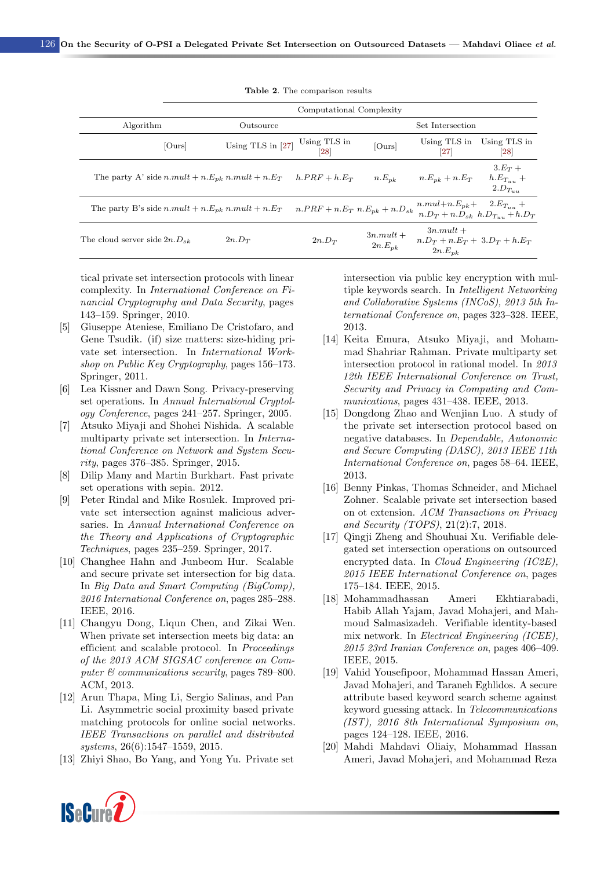Table 2. The comparison results

<span id="page-9-8"></span>

|                                                                         | Computational Complexity |                     |                                     |                             |                                                                                  |                                                 |  |
|-------------------------------------------------------------------------|--------------------------|---------------------|-------------------------------------|-----------------------------|----------------------------------------------------------------------------------|-------------------------------------------------|--|
| Algorithm                                                               | Outsource                |                     |                                     | Set Intersection            |                                                                                  |                                                 |  |
|                                                                         | [Ours]                   | Using TLS in $[27]$ | Using TLS in<br>$\left 28\right $   | [Ours]                      | Using TLS in<br>$\left[ 27\right]$                                               | Using TLS in<br> 28                             |  |
| The party A' side n.mult + n.E <sub>nk</sub> n.mult + n.E <sub>T</sub>  |                          |                     | $h.PRF + h.E_T$                     | $n.E_{nk}$                  | $n.E_{nk} + n.E_T$                                                               | $3.E_T +$<br>$h.E_{T_{uu}} +$<br>$2.D_{T_{uu}}$ |  |
| The party B's side n.mult + n.E <sub>pk</sub> n.mult + n.E <sub>T</sub> |                          |                     | $n.PRF + n.E_T n.E_{pk} + n.D_{sk}$ |                             | $n.mul + n.E_{pk} + 2.E_{T_{uv}} +$<br>$n.D_T + n.D_{sk}$ $h.D_{T_{uu}} + h.D_T$ |                                                 |  |
| The cloud server side $2n.D_{sk}$                                       |                          | 2n.D <sub>T</sub>   | 2n.D <sub>T</sub>                   | $3n$ .mult +<br>$2n.E_{pk}$ | $3n$ .mult +<br>$n.D_T + n.E_T + 3.D_T + h.E_T$<br>$2n.E_{nk}$                   |                                                 |  |

tical private set intersection protocols with linear complexity. In International Conference on Financial Cryptography and Data Security, pages 143–159. Springer, 2010.

- <span id="page-9-0"></span>[5] Giuseppe Ateniese, Emiliano De Cristofaro, and Gene Tsudik. (if) size matters: size-hiding private set intersection. In International Workshop on Public Key Cryptography, pages 156–173. Springer, 2011.
- <span id="page-9-1"></span>[6] Lea Kissner and Dawn Song. Privacy-preserving set operations. In Annual International Cryptology Conference, pages 241–257. Springer, 2005.
- <span id="page-9-2"></span>[7] Atsuko Miyaji and Shohei Nishida. A scalable multiparty private set intersection. In International Conference on Network and System Security, pages 376–385. Springer, 2015.
- [8] Dilip Many and Martin Burkhart. Fast private set operations with sepia. 2012.
- [9] Peter Rindal and Mike Rosulek. Improved private set intersection against malicious adversaries. In Annual International Conference on the Theory and Applications of Cryptographic Techniques, pages 235–259. Springer, 2017.
- [10] Changhee Hahn and Junbeom Hur. Scalable and secure private set intersection for big data. In Big Data and Smart Computing (BigComp), 2016 International Conference on, pages 285–288. IEEE, 2016.
- [11] Changyu Dong, Liqun Chen, and Zikai Wen. When private set intersection meets big data: an efficient and scalable protocol. In Proceedings of the 2013 ACM SIGSAC conference on Computer  $\mathcal C$  communications security, pages 789–800. ACM, 2013.
- [12] Arun Thapa, Ming Li, Sergio Salinas, and Pan Li. Asymmetric social proximity based private matching protocols for online social networks. IEEE Transactions on parallel and distributed systems, 26(6):1547–1559, 2015.
- [13] Zhiyi Shao, Bo Yang, and Yong Yu. Private set

intersection via public key encryption with multiple keywords search. In Intelligent Networking and Collaborative Systems (INCoS), 2013 5th International Conference on, pages 323–328. IEEE, 2013.

- [14] Keita Emura, Atsuko Miyaji, and Mohammad Shahriar Rahman. Private multiparty set intersection protocol in rational model. In 2013 12th IEEE International Conference on Trust, Security and Privacy in Computing and Communications, pages 431–438. IEEE, 2013.
- [15] Dongdong Zhao and Wenjian Luo. A study of the private set intersection protocol based on negative databases. In Dependable, Autonomic and Secure Computing (DASC), 2013 IEEE 11th International Conference on, pages 58–64. IEEE, 2013.
- <span id="page-9-3"></span>[16] Benny Pinkas, Thomas Schneider, and Michael Zohner. Scalable private set intersection based on ot extension. ACM Transactions on Privacy and Security (TOPS), 21(2):7, 2018.
- <span id="page-9-4"></span>[17] Qingji Zheng and Shouhuai Xu. Verifiable delegated set intersection operations on outsourced encrypted data. In Cloud Engineering (IC2E), 2015 IEEE International Conference on, pages 175–184. IEEE, 2015.
- <span id="page-9-5"></span>[18] Mohammadhassan Ameri Ekhtiarabadi, Habib Allah Yajam, Javad Mohajeri, and Mahmoud Salmasizadeh. Verifiable identity-based mix network. In Electrical Engineering (ICEE), 2015 23rd Iranian Conference on, pages 406–409. IEEE, 2015.
- <span id="page-9-6"></span>[19] Vahid Yousefipoor, Mohammad Hassan Ameri, Javad Mohajeri, and Taraneh Eghlidos. A secure attribute based keyword search scheme against keyword guessing attack. In Telecommunications (IST), 2016 8th International Symposium on, pages 124–128. IEEE, 2016.
- <span id="page-9-7"></span>[20] Mahdi Mahdavi Oliaiy, Mohammad Hassan Ameri, Javad Mohajeri, and Mohammad Reza